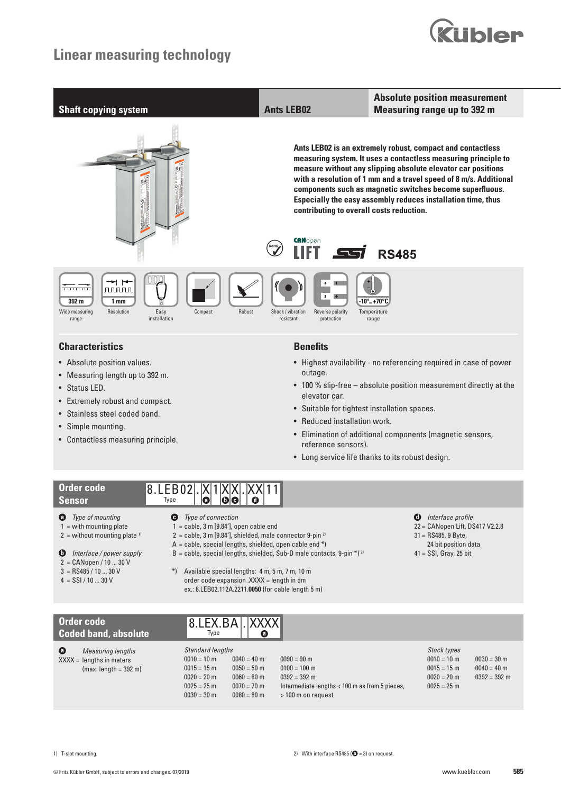



- **Sensor**
- 
- **a** *Type of mounting*
- $1 =$  with mounting plate  $2 =$  without mounting plate  $1$
- 
- **b** *Interface / power supply*
- 2 = CANopen / 10 ... 30 V  $3 =$  RS485 / 10 ... 30 V
- 
- $4 =$  SSI / 10 ... 30 V
- **c** *Type of connection*
- $1 =$  cable, 3 m  $[9.84'$ ], open cable end
- $2 =$  cable, 3 m [9.84'], shielded, male connector 9-pin<sup>2)</sup>
- $A =$  cable, special lengths, shielded, open cable end \*)
- $B =$  cable, special lengths, shielded, Sub-D male contacts, 9-pin \*)<sup>2)</sup>
- **d** *Interface profile*
	- 22 = CANopen Lift, DS417 V2.2.8
	- 31 = RS485, 9 Byte, 24 bit position data
	- 41 = SSI, Gray, 25 bit
- \*) Available special lengths: 4 m, 5 m, 7 m, 10 m
- order code expansion .XXXX = length in dm ex.: 8.LEB02.112A.2211.**0050** (for cable length 5 m)

| Order code<br><b>Coded band, absolute</b>                                                     | <b>8.LEX.BALIXXXXII</b><br>$\bullet$<br>Type                                                                                                                                               |                                                                                                                           |                                                                                        |                                                  |
|-----------------------------------------------------------------------------------------------|--------------------------------------------------------------------------------------------------------------------------------------------------------------------------------------------|---------------------------------------------------------------------------------------------------------------------------|----------------------------------------------------------------------------------------|--------------------------------------------------|
| $\bullet$<br><b>Measuring lengths</b><br>$XXX =$ lengths in meters<br>$(max. length = 392 m)$ | Standard lengths<br>$0010 = 10$ m<br>$0040 = 40$ m<br>$0015 = 15$ m<br>$0050 = 50$ m<br>$0020 = 20$ m<br>$0060 = 60$ m<br>$0025 = 25$ m<br>$0070 = 70$ m<br>$0030 = 30$ m<br>$0080 = 80$ m | $0090 = 90$ m<br>$0100 = 100$ m<br>$0392 = 392$ m<br>Intermediate lengths < 100 m as from 5 pieces,<br>> 100 m on request | <b>Stock types</b><br>$0010 = 10$ m<br>$0015 = 15$ m<br>$0020 = 20$ m<br>$0025 = 25$ m | $0030 = 30$ m<br>$0040 = 40$ m<br>$0392 = 392$ m |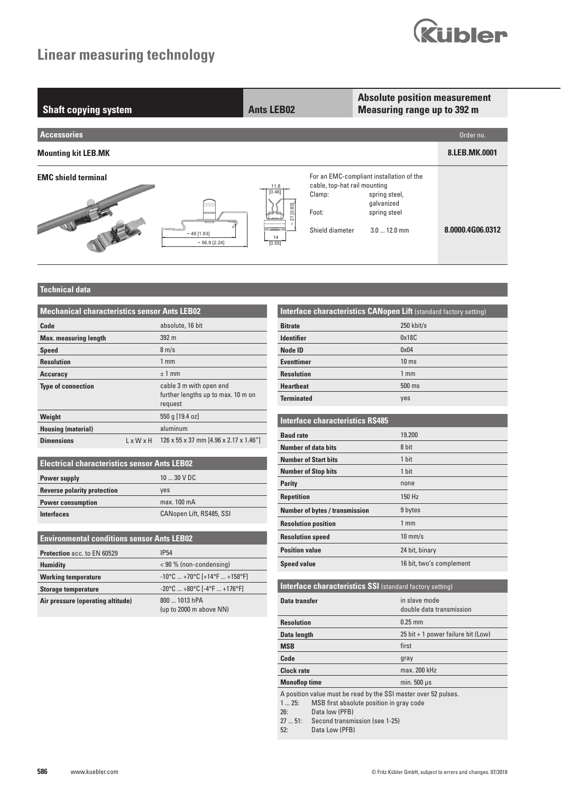

| <b>Shaft copying system</b> |                           | <b>Ants LEB02</b>                               |                                                                    | <b>Absolute position measurement</b><br><b>Measuring range up to 392 m</b>                              |                  |
|-----------------------------|---------------------------|-------------------------------------------------|--------------------------------------------------------------------|---------------------------------------------------------------------------------------------------------|------------------|
| <b>Accessories</b>          |                           |                                                 |                                                                    |                                                                                                         | Order no.        |
| <b>Mounting kit LEB.MK</b>  |                           |                                                 |                                                                    |                                                                                                         | 8.LEB.MK.0001    |
| <b>EMC</b> shield terminal  | $~1.93$ ]<br>~56,9~[2.24] | 11.8<br>[0.46]<br>83<br>$\circ$<br>14<br>[0.55] | cable, top-hat rail mounting<br>Clamp:<br>Foot:<br>Shield diameter | For an EMC-compliant installation of the<br>spring steel,<br>galvanized<br>spring steel<br>$3.012.0$ mm | 8.0000.4G06.0312 |

### **Technical data**

| <b>Mechanical characteristics sensor Ants LEB02</b> |                       |                                                                          |  |  |  |
|-----------------------------------------------------|-----------------------|--------------------------------------------------------------------------|--|--|--|
| Code                                                |                       | absolute, 16 bit                                                         |  |  |  |
| <b>Max.</b> measuring length                        |                       | 392 <sub>m</sub>                                                         |  |  |  |
| <b>Speed</b>                                        |                       | $8 \text{ m/s}$                                                          |  |  |  |
| <b>Resolution</b>                                   |                       | $1 \text{ mm}$                                                           |  |  |  |
| <b>Accuracy</b>                                     |                       | $±1$ mm                                                                  |  |  |  |
| <b>Type of connection</b>                           |                       | cable 3 m with open end<br>further lengths up to max. 10 m on<br>request |  |  |  |
| Weight                                              |                       | 550 g [19.4 oz]                                                          |  |  |  |
| <b>Housing (material)</b>                           |                       | aluminum                                                                 |  |  |  |
| <b>Dimensions</b>                                   | $L \times W \times H$ | 126 x 55 x 37 mm [4.96 x 2.17 x 1.46"]                                   |  |  |  |

| <b>Electrical characteristics sensor Ants LEB02</b> |                          |  |  |  |  |  |
|-----------------------------------------------------|--------------------------|--|--|--|--|--|
| Power supply                                        | $1030$ V DC              |  |  |  |  |  |
| <b>Reverse polarity protection</b>                  | ves                      |  |  |  |  |  |
| <b>Power consumption</b>                            | max. 100 mA              |  |  |  |  |  |
| <b>Interfaces</b>                                   | CANopen Lift, RS485, SSI |  |  |  |  |  |

|                                    | <b>Environmental conditions sensor Ants LEB02</b>                       |  |  |  |  |  |
|------------------------------------|-------------------------------------------------------------------------|--|--|--|--|--|
| <b>Protection acc. to EN 60529</b> | <b>IP54</b>                                                             |  |  |  |  |  |
| <b>Humidity</b>                    | < 90 % (non-condensing)                                                 |  |  |  |  |  |
| <b>Working temperature</b>         | $-10^{\circ}$ C  +70 $^{\circ}$ C [+14 $^{\circ}$ F  +158 $^{\circ}$ F] |  |  |  |  |  |
| <b>Storage temperature</b>         | $-20^{\circ}$ C $+80^{\circ}$ C [ $-4^{\circ}$ F $+176^{\circ}$ F]      |  |  |  |  |  |
| Air pressure (operating altitude)  | 800  1013 hPA<br>(up to 2000 m above NN)                                |  |  |  |  |  |

| <b>Interface characteristics CANopen Lift</b> (standard factory setting) |                 |  |  |  |  |
|--------------------------------------------------------------------------|-----------------|--|--|--|--|
| <b>Bitrate</b>                                                           | $250$ kbit/s    |  |  |  |  |
| <b>Identifier</b>                                                        | 0x18C           |  |  |  |  |
| Node ID                                                                  | $0 \times 04$   |  |  |  |  |
| <b>Eventtimer</b>                                                        | $10 \text{ ms}$ |  |  |  |  |
| <b>Resolution</b>                                                        | 1 <sub>mm</sub> |  |  |  |  |
| <b>Heartbeat</b>                                                         | 500 ms          |  |  |  |  |
| <b>Terminated</b>                                                        | yes             |  |  |  |  |

#### **Interface characteristics RS485**

| <b>Baud rate</b>                      | 19.200                   |
|---------------------------------------|--------------------------|
| <b>Number of data bits</b>            | 8 bit                    |
| <b>Number of Start bits</b>           | 1 bit                    |
| <b>Number of Stop bits</b>            | 1 bit                    |
| <b>Parity</b>                         | none                     |
| <b>Repetition</b>                     | 150 Hz                   |
| <b>Number of bytes / transmission</b> | 9 bytes                  |
| <b>Resolution position</b>            | 1 <sub>mm</sub>          |
| <b>Resolution speed</b>               | $10$ mm/s                |
| <b>Position value</b>                 | 24 bit, binary           |
| <b>Speed value</b>                    | 16 bit, two's complement |

|                             | <b>Interface characteristics SSI</b> (standard factory setting)                                                                                                                   |                                           |
|-----------------------------|-----------------------------------------------------------------------------------------------------------------------------------------------------------------------------------|-------------------------------------------|
| Data transfer               |                                                                                                                                                                                   | in slave mode<br>double data transmission |
| <b>Resolution</b>           |                                                                                                                                                                                   | $0.25$ mm                                 |
| <b>Data length</b>          |                                                                                                                                                                                   | $25$ bit + 1 power failure bit (Low)      |
| <b>MSB</b>                  |                                                                                                                                                                                   | first                                     |
| Code                        |                                                                                                                                                                                   | gray                                      |
| <b>Clock rate</b>           |                                                                                                                                                                                   | max. 200 kHz                              |
| <b>Monoflop time</b>        |                                                                                                                                                                                   | min. $500 \mu s$                          |
| 125:<br>26:<br>2751:<br>52: | A position value must be read by the SSI master over 52 pulses.<br>MSB first absolute position in gray code<br>Data low (PFB)<br>Second transmission (see 1-25)<br>Data Low (PFB) |                                           |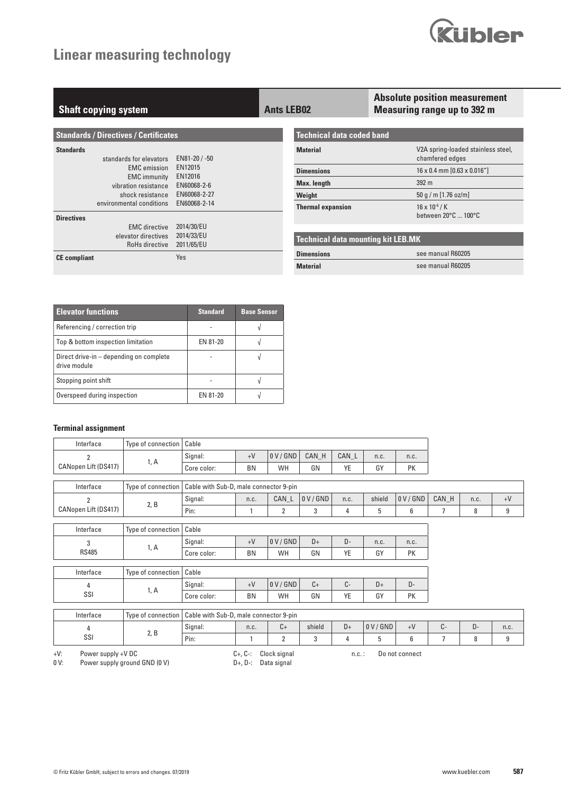

| <b>Shaft copying system</b>                   |                          | <b>Ants LEB02</b>                         | <b>Absolute position measurement</b><br><b>Measuring range up to 392 m</b> |
|-----------------------------------------------|--------------------------|-------------------------------------------|----------------------------------------------------------------------------|
| <b>Standards / Directives / Certificates</b>  |                          | Technical data coded band                 |                                                                            |
| <b>Standards</b><br>standards for elevators   | EN81-20 / -50            | <b>Material</b>                           | V2A spring-loaded stainless steel,<br>chamfered edges                      |
| <b>EMC</b> emission                           | EN12015                  | <b>Dimensions</b>                         | $16 \times 0.4$ mm $[0.63 \times 0.016'']$                                 |
| <b>EMC</b> immunity<br>vibration resistance   | EN12016<br>EN60068-2-6   | <b>Max.</b> length                        | 392 <sub>m</sub>                                                           |
| shock resistance                              | EN60068-2-27             | Weight                                    | $50$ g / m $[1.76$ oz/m]                                                   |
| environmental conditions<br><b>Directives</b> | EN60068-2-14             | <b>Thermal expansion</b>                  | $16 \times 10^{-6}$ / K<br>between $20^{\circ}$ C $100^{\circ}$ C          |
| <b>EMC</b> directive                          | 2014/30/EU               |                                           |                                                                            |
| elevator directives<br>RoHs directive         | 2014/33/EU<br>2011/65/EU | <b>Technical data mounting kit LEB.MK</b> |                                                                            |
| <b>CE</b> compliant                           | Yes                      | <b>Dimensions</b>                         | see manual R60205                                                          |
|                                               |                          | <b>Material</b>                           | see manual R60205                                                          |

| <b>Elevator functions</b>                               | <b>Standard</b> | <b>Base Sensor</b> |
|---------------------------------------------------------|-----------------|--------------------|
| Referencing / correction trip                           |                 |                    |
| Top & bottom inspection limitation                      | EN 81-20        |                    |
| Direct drive-in – depending on complete<br>drive module |                 |                    |
| Stopping point shift                                    |                 |                    |
| Overspeed during inspection                             | EN 81-20        |                    |

#### **Terminal assignment**

| Interface            | ' Type of connection   Cable |             |           |         |          |       |      |      |
|----------------------|------------------------------|-------------|-----------|---------|----------|-------|------|------|
|                      |                              | Signal:     | $+V$      | 0 V/GND | CAN<br>H | CAN L | n.c. | n.c. |
| CANopen Lift (DS417) | I, A                         | Core color: | <b>BN</b> | WH      | G٨       | VF    | GY   | PK   |

| Interface                   | Type of connection | Cable with Sub-D, male connector 9-pin |      |       |             |      |        |         |     |      |               |
|-----------------------------|--------------------|----------------------------------------|------|-------|-------------|------|--------|---------|-----|------|---------------|
|                             |                    | Signal:                                | n.c. | CAN L | $0$ V / GND | n.c. | shield | 0 V/GND | CAN | n.c. | $\triangle V$ |
| <b>CANopen Lift (DS417)</b> |                    | Pin:                                   |      |       |             |      |        |         |     |      |               |

| Interface    | Type of connection   Cable |             |      |         |      |    |      |      |  |  |
|--------------|----------------------------|-------------|------|---------|------|----|------|------|--|--|
| <b>RS485</b> | 1, A                       | Signal:     | $+V$ | 0 V/GND | D+   | D- | n.c. | n.c. |  |  |
|              |                            | Core color: | BN   | WH      | GN   | YE | GY   | PK   |  |  |
|              |                            |             |      |         |      |    |      |      |  |  |
| Interface    | Type of connection   Cable |             |      |         |      |    |      |      |  |  |
| SSI          | 1, A                       | Signal:     | $+V$ | 0 V/GND | $C+$ | C- | D+   | D-   |  |  |
|              |                            | Core color: | BN   | WH      | GN   | YE | GY   | PK   |  |  |

| Interface | Type of connection | Cable with Sub-D, male connector 9-pin |      |    |        |    |             |  |  |   |      |
|-----------|--------------------|----------------------------------------|------|----|--------|----|-------------|--|--|---|------|
| SSI       | ں ,ے               | Signal:                                | n.c. | U+ | shield | D+ | / GND<br>0V |  |  | ► | n.c. |
|           |                    | Pin:                                   |      |    |        |    |             |  |  |   |      |

+V: Power supply +V DC 0 V: Power supply ground GND (0 V)

- C+, C-: Clock signal D+, D-: Data signal
- n.c. : Do not connect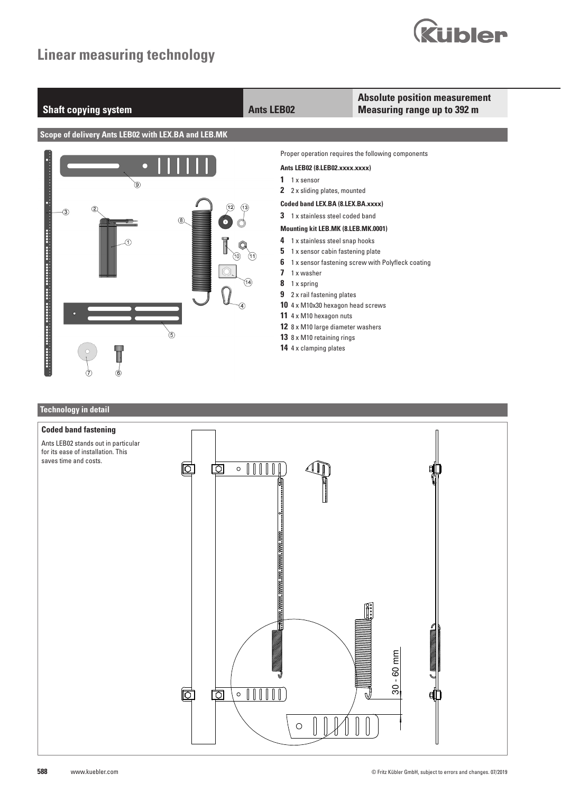



# **Technology in detail Coded band fastening** Ants LEB02 stands out in particular for its ease of installation. This saves time and costs.问 তি  $\circ$  ||||||  $\mathbb I$  30 - 60 mm  $30 - 60$  mm  $\circ$  [[[[[[ 问 囟  $\bigcirc$